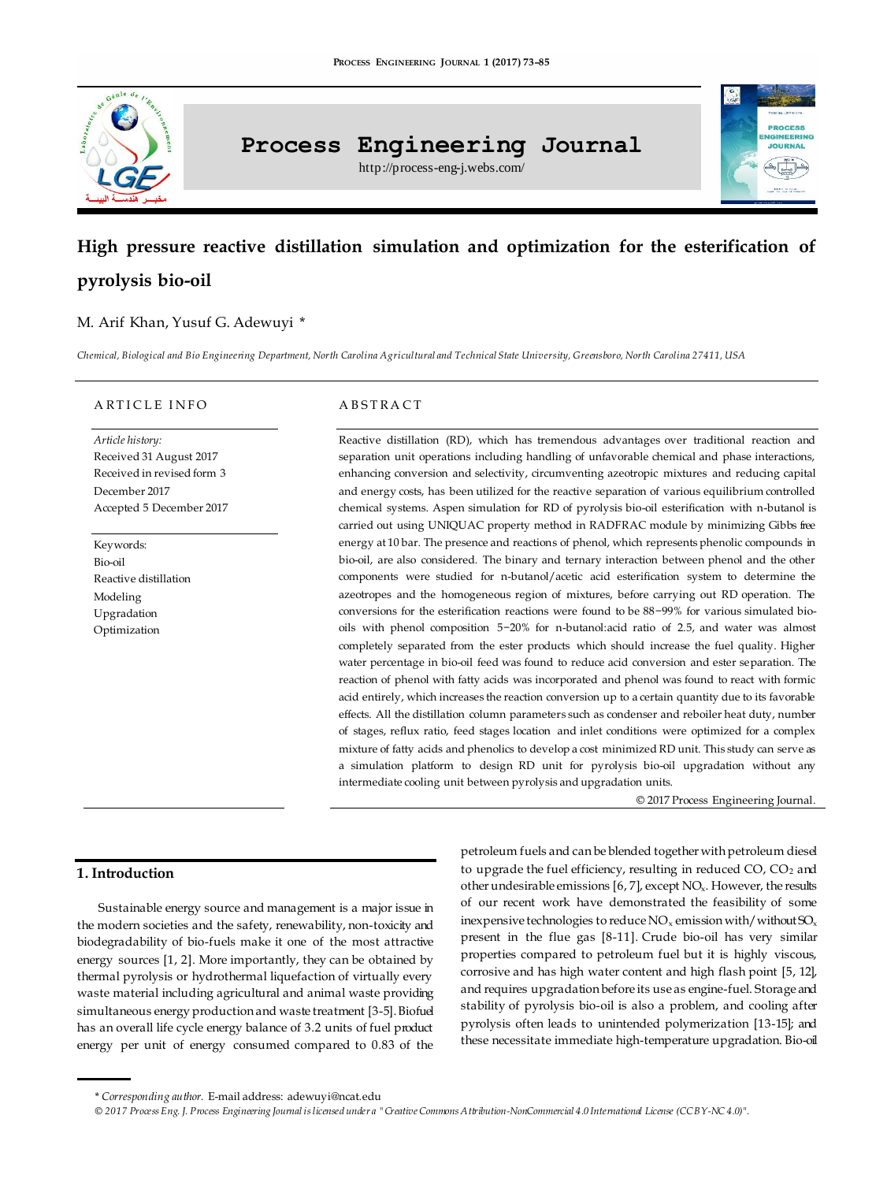

# **Process Engineering Journal**

http://process-eng-j.webs.com/

# **PROCESS** NGINEERING

# **High pressure reactive distillation simulation and optimization for the esterification of pyrolysis bio-oil**

# M. Arif Khan, Yusuf G. Adewuyi \*

*Chemical, Biological and Bio Engineering Department, North Carolina Agricultural and Technical State University, Greensboro, North Carolina 27411, USA*

#### ARTICLE INFO

*Article history:* Received 31 August 2017 Received in revised form 3 December 2017 Accepted 5 December 2017

Keywords: Bio-oil Reactive distillation Modeling Upgradation Optimization

#### A B S T RA C T

Reactive distillation (RD), which has tremendous advantages over traditional reaction and separation unit operations including handling of unfavorable chemical and phase interactions, enhancing conversion and selectivity, circumventing azeotropic mixtures and reducing capital and energy costs, has been utilized for the reactive separation of various equilibrium controlled chemical systems. Aspen simulation for RD of pyrolysis bio-oil esterification with n-butanol is carried out using UNIQUAC property method in RADFRAC module by minimizing Gibbs free energy at 10 bar. The presence and reactions of phenol, which represents phenolic compounds in bio-oil, are also considered. The binary and ternary interaction between phenol and the other components were studied for n-butanol/acetic acid esterification system to determine the azeotropes and the homogeneous region of mixtures, before carrying out RD operation. The conversions for the esterification reactions were found to be 88−99% for various simulated biooils with phenol composition 5−20% for n-butanol:acid ratio of 2.5, and water was almost completely separated from the ester products which should increase the fuel quality. Higher water percentage in bio-oil feed was found to reduce acid conversion and ester separation. The reaction of phenol with fatty acids was incorporated and phenol was found to react with formic acid entirely, which increases the reaction conversion up to a certain quantity due to its favorable effects. All the distillation column parameters such as condenser and reboiler heat duty, number of stages, reflux ratio, feed stages location and inlet conditions were optimized for a complex mixture of fatty acids and phenolics to develop a cost minimized RD unit. This study can serve as a simulation platform to design RD unit for pyrolysis bio-oil upgradation without any intermediate cooling unit between pyrolysis and upgradation units.

© 2017 Process Engineering Journal.

# **1. Introduction**

Sustainable energy source and management is a major issue in the modern societies and the safety, renewability, non-toxicity and biodegradability of bio-fuels make it one of the most attractive energy sources [1, 2]. More importantly, they can be obtained by thermal pyrolysis or hydrothermal liquefaction of virtually every waste material including agricultural and animal waste providing simultaneous energy production and waste treatment [3-5]. Biofuel has an overall life cycle energy balance of 3.2 units of fuel product energy per unit of energy consumed compared to 0.83 of the petroleum fuels and can be blended together with petroleum diesel to upgrade the fuel efficiency, resulting in reduced  $CO$ ,  $CO<sub>2</sub>$  and other undesirable emissions  $[6, 7]$ , except NO<sub>x</sub>. However, the results of our recent work have demonstrated the feasibility of some inexpensive technologies to reduce  $NO_x$  emission with/without  $SO_x$ present in the flue gas [8-11]. Crude bio-oil has very similar properties compared to petroleum fuel but it is highly viscous, corrosive and has high water content and high flash point [5, 12], and requires upgradation before its use as engine-fuel. Storage and stability of pyrolysis bio-oil is also a problem, and cooling after pyrolysis often leads to unintended polymerization [13-15]; and these necessitate immediate high-temperature upgradation. Bio-oil

*© 2017 Process Eng. J. Process Engineering Journal is licensed under [a "Creative Commons Attribution-NonCommercial 4.0 International License \(CC BY-NC 4.0\)"](https://creativecommons.org/licenses/by-nc/4.0/).*

<sup>\*</sup> *Corresponding author.* E-mail address[: adewuyi@ncat.edu](mailto:adewuyi@ncat.edu)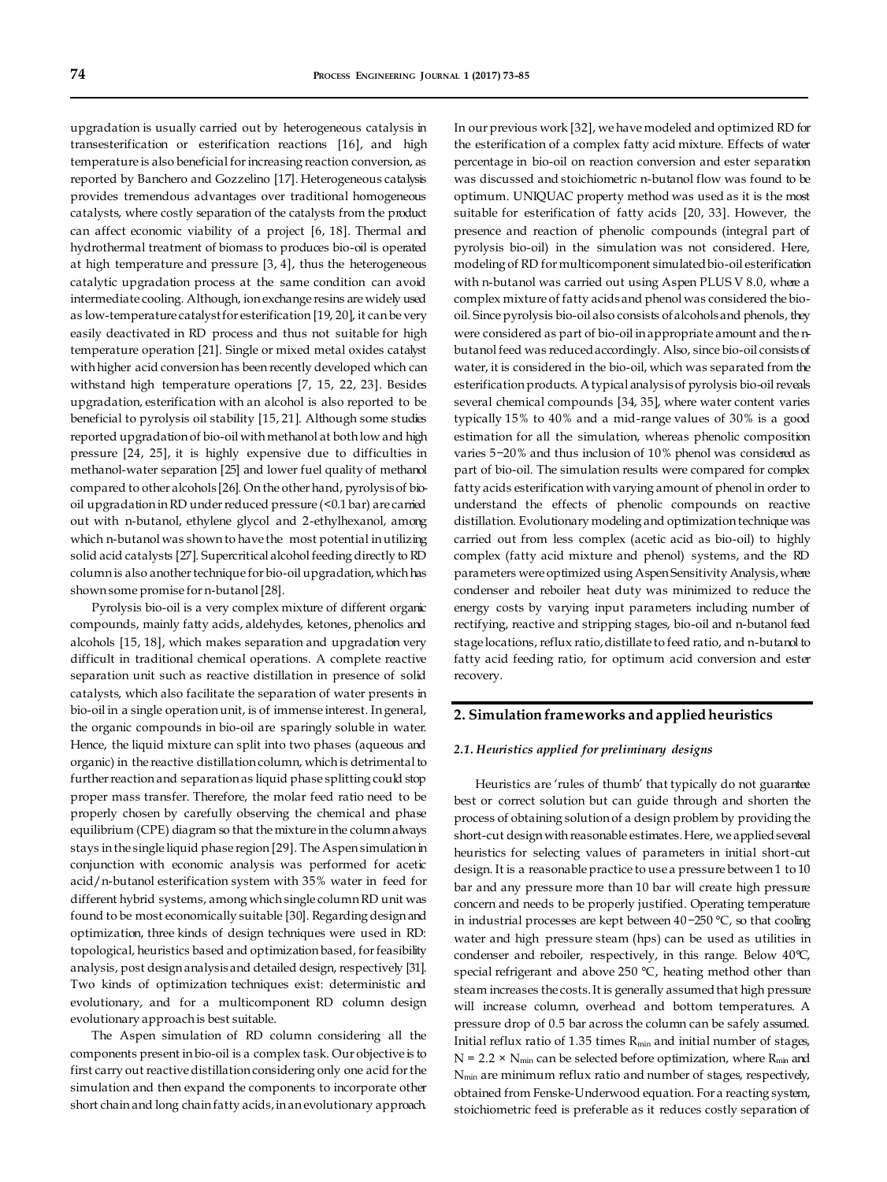upgradation is usually carried out by heterogeneous catalysis in transesterification or esterification reactions [16], and high temperature is also beneficial for increasing reaction conversion, as reported by Banchero and Gozzelino [17]. Heterogeneous catalysis provides tremendous advantages over traditional homogeneous catalysts, where costly separation of the catalysts from the product can affect economic viability of a project [6, 18]. Thermal and hydrothermal treatment of biomass to produces bio-oil is operated at high temperature and pressure [3, 4], thus the heterogeneous catalytic upgradation process at the same condition can avoid intermediate cooling. Although, ion exchange resins are widely used as low-temperature catalyst for esterification [19, 20], it can be very easily deactivated in RD process and thus not suitable for high temperature operation [21]. Single or mixed metal oxides catalyst with higher acid conversion has been recently developed which can withstand high temperature operations [7, 15, 22, 23]. Besides upgradation, esterification with an alcohol is also reported to be beneficial to pyrolysis oil stability [15, 21]. Although some studies reported upgradation of bio-oil with methanol at both low and high pressure [24, 25], it is highly expensive due to difficulties in methanol-water separation [25] and lower fuel quality of methanol compared to other alcohols [26]. On the other hand, pyrolysis of biooil upgradation in RD under reduced pressure (<0.1 bar) are carried out with n-butanol, ethylene glycol and 2-ethylhexanol, among which n-butanol was shown to have the most potential in utilizing solid acid catalysts [27]. Supercritical alcohol feeding directly to RD column is also another technique for bio-oil upgradation, which has shown some promise for n-butanol [28].

Pyrolysis bio-oil is a very complex mixture of different organic compounds, mainly fatty acids, aldehydes, ketones, phenolics and alcohols [15, 18], which makes separation and upgradation very difficult in traditional chemical operations. A complete reactive separation unit such as reactive distillation in presence of solid catalysts, which also facilitate the separation of water presents in bio-oil in a single operation unit, is of immense interest. In general, the organic compounds in bio-oil are sparingly soluble in water. Hence, the liquid mixture can split into two phases (aqueous and organic) in the reactive distillation column, which is detrimental to further reaction and separation as liquid phase splitting could stop proper mass transfer. Therefore, the molar feed ratio need to be properly chosen by carefully observing the chemical and phase equilibrium (CPE) diagram so that the mixture in the column always stays in the single liquid phase region [29]. The Aspen simulation in conjunction with economic analysis was performed for acetic acid/n-butanol esterification system with 35% water in feed for different hybrid systems, among which single column RD unit was found to be most economically suitable [30]. Regarding design and optimization, three kinds of design techniques were used in RD: topological, heuristics based and optimization based, for feasibility analysis, post design analysis and detailed design, respectively [31]. Two kinds of optimization techniques exist: deterministic and evolutionary, and for a multicomponent RD column design evolutionary approach is best suitable.

The Aspen simulation of RD column considering all the components present in bio-oil is a complex task. Our objective is to first carry out reactive distillation considering only one acid for the simulation and then expand the components to incorporate other short chain and long chain fatty acids, in an evolutionary approach. In our previous work [32], we have modeled and optimized RD for the esterification of a complex fatty acid mixture. Effects of water percentage in bio-oil on reaction conversion and ester separation was discussed and stoichiometric n-butanol flow was found to be optimum. UNIQUAC property method was used as it is the most suitable for esterification of fatty acids [20, 33]. However, the presence and reaction of phenolic compounds (integral part of pyrolysis bio-oil) in the simulation was not considered. Here, modeling of RD for multicomponent simulated bio-oil esterification with n-butanol was carried out using Aspen PLUS V 8.0, where a complex mixture of fatty acids and phenol was considered the biooil. Since pyrolysis bio-oil also consists of alcohols and phenols, they were considered as part of bio-oil in appropriate amount and the nbutanol feed was reduced accordingly. Also, since bio-oil consists of water, it is considered in the bio-oil, which was separated from the esterification products. A typical analysis of pyrolysis bio-oil reveals several chemical compounds [34, 35], where water content varies typically 15% to 40% and a mid-range values of 30% is a good estimation for all the simulation, whereas phenolic composition varies 5−20% and thus inclusion of 10% phenol was considered as part of bio-oil. The simulation results were compared for complex fatty acids esterification with varying amount of phenol in order to understand the effects of phenolic compounds on reactive distillation. Evolutionary modeling and optimization technique was carried out from less complex (acetic acid as bio-oil) to highly complex (fatty acid mixture and phenol) systems, and the RD parameters were optimized using Aspen Sensitivity Analysis, where condenser and reboiler heat duty was minimized to reduce the energy costs by varying input parameters including number of rectifying, reactive and stripping stages, bio-oil and n-butanol feed stage locations, reflux ratio, distillate to feed ratio, and n-butanol to fatty acid feeding ratio, for optimum acid conversion and ester recovery.

#### **2. Simulation frameworks and applied heuristics**

#### *2.1. Heuristics applied for preliminary designs*

Heuristics are 'rules of thumb' that typically do not guarantee best or correct solution but can guide through and shorten the process of obtaining solution of a design problem by providing the short-cut design with reasonable estimates. Here, we applied several heuristics for selecting values of parameters in initial short-cut design. It is a reasonable practice to use a pressure between 1 to 10 bar and any pressure more than 10 bar will create high pressure concern and needs to be properly justified. Operating temperature in industrial processes are kept between 40−250 °C, so that cooling water and high pressure steam (hps) can be used as utilities in condenser and reboiler, respectively, in this range. Below 40°C, special refrigerant and above 250 °C, heating method other than steam increases the costs. It is generally assumed that high pressure will increase column, overhead and bottom temperatures. A pressure drop of 0.5 bar across the column can be safely assumed. Initial reflux ratio of 1.35 times  $R_{min}$  and initial number of stages,  $N = 2.2 \times N_{min}$  can be selected before optimization, where  $R_{min}$  and Nmin are minimum reflux ratio and number of stages, respectively, obtained from Fenske-Underwood equation. For a reacting system, stoichiometric feed is preferable as it reduces costly separation of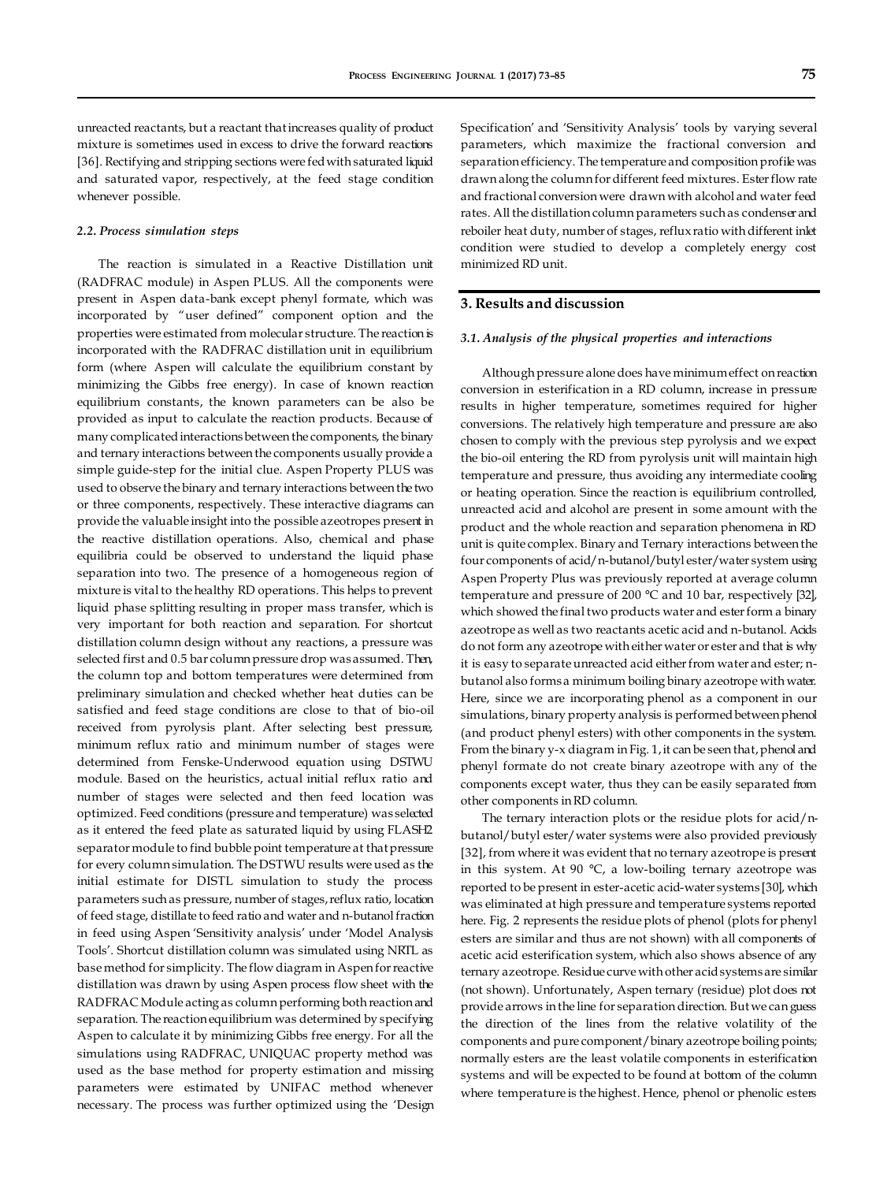unreacted reactants, but a reactant that increases quality of product mixture is sometimes used in excess to drive the forward reactions [36]. Rectifying and stripping sections were fed with saturated liquid and saturated vapor, respectively, at the feed stage condition whenever possible.

#### *2.2. Process simulation steps*

The reaction is simulated in a Reactive Distillation unit (RADFRAC module) in Aspen PLUS. All the components were present in Aspen data-bank except phenyl formate, which was incorporated by "user defined" component option and the properties were estimated from molecular structure. The reaction is incorporated with the RADFRAC distillation unit in equilibrium form (where Aspen will calculate the equilibrium constant by minimizing the Gibbs free energy). In case of known reaction equilibrium constants, the known parameters can be also be provided as input to calculate the reaction products. Because of many complicated interactions between the components, the binary and ternary interactions between the components usually provide a simple guide-step for the initial clue. Aspen Property PLUS was used to observe the binary and ternary interactions between the two or three components, respectively. These interactive diagrams can provide the valuable insight into the possible azeotropes present in the reactive distillation operations. Also, chemical and phase equilibria could be observed to understand the liquid phase separation into two. The presence of a homogeneous region of mixture is vital to the healthy RD operations. This helps to prevent liquid phase splitting resulting in proper mass transfer, which is very important for both reaction and separation. For shortcut distillation column design without any reactions, a pressure was selected first and 0.5 bar column pressure drop was assumed. Then, the column top and bottom temperatures were determined from preliminary simulation and checked whether heat duties can be satisfied and feed stage conditions are close to that of bio-oil received from pyrolysis plant. After selecting best pressure, minimum reflux ratio and minimum number of stages were determined from Fenske-Underwood equation using DSTWU module. Based on the heuristics, actual initial reflux ratio and number of stages were selected and then feed location was optimized. Feed conditions (pressure and temperature) was selected as it entered the feed plate as saturated liquid by using FLASH2 separator module to find bubble point temperature at that pressure for every column simulation. The DSTWU results were used as the initial estimate for DISTL simulation to study the process parameters such as pressure, number of stages, reflux ratio, location of feed stage, distillate to feed ratio and water and n-butanol fraction in feed using Aspen 'Sensitivity analysis' under 'Model Analysis Tools'. Shortcut distillation column was simulated using NRTL as base method for simplicity. The flow diagram in Aspen for reactive distillation was drawn by using Aspen process flow sheet with the RADFRAC Module acting as column performing both reaction and separation. The reaction equilibrium was determined by specifying Aspen to calculate it by minimizing Gibbs free energy. For all the simulations using RADFRAC, UNIQUAC property method was used as the base method for property estimation and missing parameters were estimated by UNIFAC method whenever necessary. The process was further optimized using the 'Design

Specification' and 'Sensitivity Analysis' tools by varying several parameters, which maximize the fractional conversion and separation efficiency. The temperature and composition profile was drawn along the column for different feed mixtures. Ester flow rate and fractional conversion were drawn with alcohol and water feed rates. All the distillation column parameters such as condenser and reboiler heat duty, number of stages, reflux ratio with different inlet condition were studied to develop a completely energy cost minimized RD unit.

## **3. Results and discussion**

#### *3.1. Analysis of the physical properties and interactions*

Although pressure alone does have minimum effect on reaction conversion in esterification in a RD column, increase in pressure results in higher temperature, sometimes required for higher conversions. The relatively high temperature and pressure are also chosen to comply with the previous step pyrolysis and we expect the bio-oil entering the RD from pyrolysis unit will maintain high temperature and pressure, thus avoiding any intermediate cooling or heating operation. Since the reaction is equilibrium controlled, unreacted acid and alcohol are present in some amount with the product and the whole reaction and separation phenomena in RD unit is quite complex. Binary and Ternary interactions between the four components of acid/n-butanol/butyl ester/water system using Aspen Property Plus was previously reported at average column temperature and pressure of 200 °C and 10 bar, respectively [32], which showed the final two products water and ester form a binary azeotrope as well as two reactants acetic acid and n-butanol. Acids do not form any azeotrope with either water or ester and that is why it is easy to separate unreacted acid either from water and ester; nbutanol also forms a minimum boiling binary azeotrope with water. Here, since we are incorporating phenol as a component in our simulations, binary property analysis is performed between phenol (and product phenyl esters) with other components in the system. From the binary y-x diagram in Fig. 1, it can be seen that, phenol and phenyl formate do not create binary azeotrope with any of the components except water, thus they can be easily separated from other components in RD column.

The ternary interaction plots or the residue plots for acid/nbutanol/butyl ester/water systems were also provided previously [32], from where it was evident that no ternary azeotrope is present in this system. At 90 °C, a low-boiling ternary azeotrope was reported to be present in ester-acetic acid-water systems [30], which was eliminated at high pressure and temperature systems reported here. Fig. 2 represents the residue plots of phenol (plots for phenyl esters are similar and thus are not shown) with all components of acetic acid esterification system, which also shows absence of any ternary azeotrope. Residue curve with other acid systems are similar (not shown). Unfortunately, Aspen ternary (residue) plot does not provide arrows in the line for separation direction. But we can guess the direction of the lines from the relative volatility of the components and pure component/binary azeotrope boiling points; normally esters are the least volatile components in esterification systems and will be expected to be found at bottom of the column where temperature is the highest. Hence, phenol or phenolic esters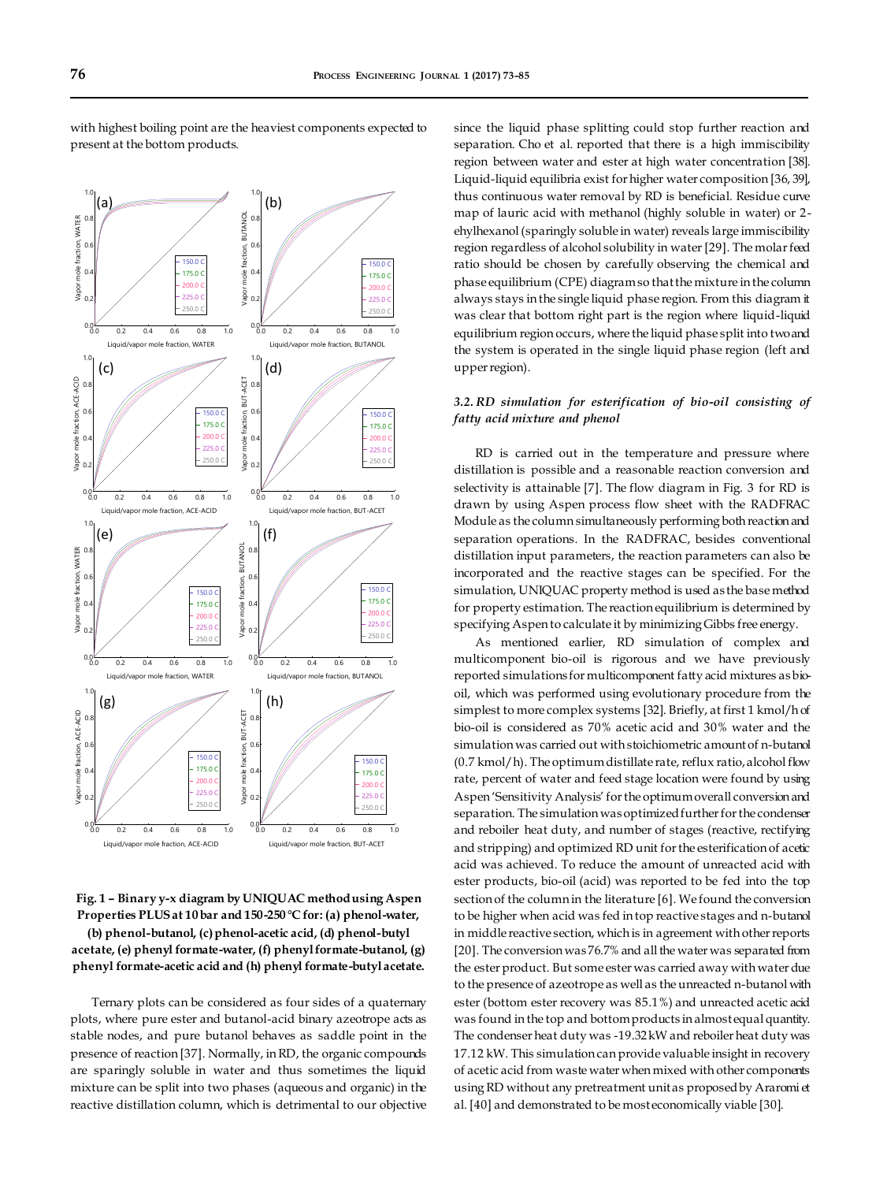

with highest boiling point are the heaviest components expected to present at the bottom products.

**Fig. 1 – Binary y-x diagram by UNIQUAC method using Aspen Properties PLUS at 10 bar and 150-250 °C for: (a) phenol-water, (b) phenol-butanol, (c) phenol-acetic acid, (d) phenol-butyl acetate, (e) phenyl formate-water, (f) phenyl formate-butanol, (g)** 

**phenyl formate-acetic acid and (h) phenyl formate-butyl acetate.**

Ternary plots can be considered as four sides of a quaternary plots, where pure ester and butanol-acid binary azeotrope acts as stable nodes, and pure butanol behaves as saddle point in the presence of reaction [37]. Normally, in RD, the organic compounds are sparingly soluble in water and thus sometimes the liquid mixture can be split into two phases (aqueous and organic) in the reactive distillation column, which is detrimental to our objective since the liquid phase splitting could stop further reaction and separation. Cho et al. reported that there is a high immiscibility region between water and ester at high water concentration [38]. Liquid-liquid equilibria exist for higher water composition [36, 39], thus continuous water removal by RD is beneficial. Residue curve map of lauric acid with methanol (highly soluble in water) or 2 ehylhexanol (sparingly soluble in water) reveals large immiscibility region regardless of alcohol solubility in water [29]. The molar feed ratio should be chosen by carefully observing the chemical and phase equilibrium (CPE) diagram so that the mixture in the column always stays in the single liquid phase region. From this diagram it was clear that bottom right part is the region where liquid-liquid equilibrium region occurs, where the liquid phase split into two and the system is operated in the single liquid phase region (left and upper region).

# *3.2. RD simulation for esterification of bio-oil consisting of fatty acid mixture and phenol*

RD is carried out in the temperature and pressure where distillation is possible and a reasonable reaction conversion and selectivity is attainable [7]. The flow diagram in Fig. 3 for RD is drawn by using Aspen process flow sheet with the RADFRAC Module as the column simultaneously performing both reaction and separation operations. In the RADFRAC, besides conventional distillation input parameters, the reaction parameters can also be incorporated and the reactive stages can be specified. For the simulation, UNIQUAC property method is used as the base method for property estimation. The reaction equilibrium is determined by specifying Aspen to calculate it by minimizing Gibbs free energy.

As mentioned earlier, RD simulation of complex and multicomponent bio-oil is rigorous and we have previously reported simulations for multicomponent fatty acid mixtures as biooil, which was performed using evolutionary procedure from the simplest to more complex systems [32]. Briefly, at first 1 kmol/h of bio-oil is considered as 70% acetic acid and 30% water and the simulation was carried out with stoichiometric amount of n-butanol (0.7 kmol/h). The optimum distillate rate, reflux ratio, alcohol flow rate, percent of water and feed stage location were found by using Aspen 'Sensitivity Analysis' for the optimum overall conversion and separation. The simulation was optimized further for the condenser and reboiler heat duty, and number of stages (reactive, rectifying and stripping) and optimized RD unit for the esterification of acetic acid was achieved. To reduce the amount of unreacted acid with ester products, bio-oil (acid) was reported to be fed into the top section of the column in the literature [6]. We found the conversion to be higher when acid was fed in top reactive stages and n-butanol in middle reactive section, which is in agreement with other reports [20]. The conversion was 76.7% and all the water was separated from the ester product. But some ester was carried away with water due to the presence of azeotrope as well as the unreacted n-butanol with ester (bottom ester recovery was 85.1%) and unreacted acetic acid was found in the top and bottom products in almost equal quantity. The condenser heat duty was -19.32 kW and reboiler heat duty was 17.12 kW. This simulation can provide valuable insight in recovery of acetic acid from waste water when mixed with other components using RD without any pretreatment unit as proposed by Araromi et al. [40] and demonstrated to be most economically viable [30].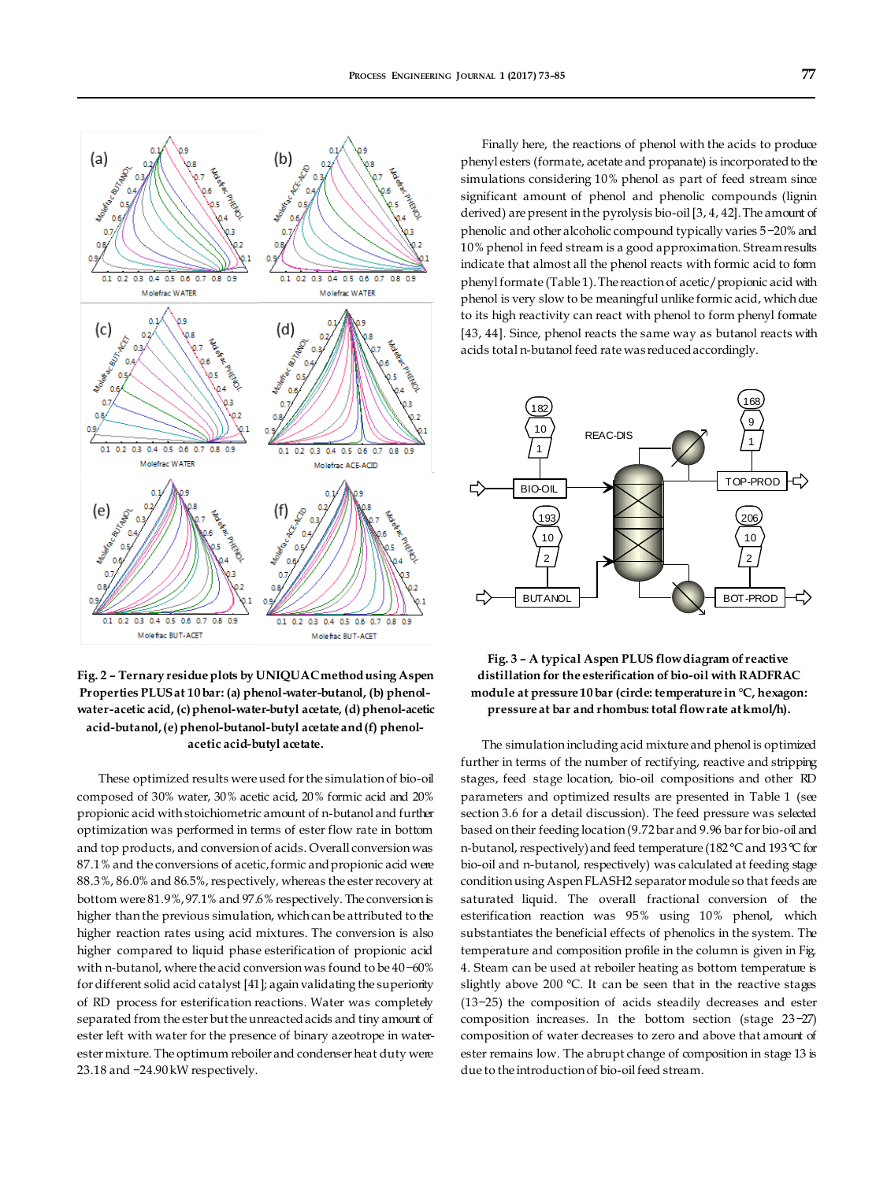

**Fig. 2 – Ternary residue plots by UNIQUAC method using Aspen Properties PLUS at 10 bar: (a) phenol-water-butanol, (b) phenolwater-acetic acid, (c) phenol-water-butyl acetate, (d) phenol-acetic acid-butanol, (e) phenol-butanol-butyl acetate and (f) phenolacetic acid-butyl acetate.**

These optimized results were used for the simulation of bio-oil composed of 30% water, 30% acetic acid, 20% formic acid and 20% propionic acid with stoichiometric amount of n-butanol and further optimization was performed in terms of ester flow rate in bottom and top products, and conversion of acids. Overall conversion was 87.1% and the conversions of acetic, formic and propionic acid were 88.3%, 86.0% and 86.5%, respectively, whereas the ester recovery at bottom were 81.9%, 97.1% and 97.6% respectively. The conversion is higher than the previous simulation, which can be attributed to the higher reaction rates using acid mixtures. The conversion is also higher compared to liquid phase esterification of propionic acid with n-butanol, where the acid conversion was found to be 40−60% for different solid acid catalyst [41]; again validating the superiority of RD process for esterification reactions. Water was completely separated from the ester but the unreacted acids and tiny amount of ester left with water for the presence of binary azeotrope in waterester mixture. The optimum reboiler and condenser heat duty were 23.18 and −24.90 kW respectively.

Finally here, the reactions of phenol with the acids to produce phenyl esters (formate, acetate and propanate) is incorporated to the simulations considering 10% phenol as part of feed stream since significant amount of phenol and phenolic compounds (lignin derived) are present in the pyrolysis bio-oil [3, 4, 42]. The amount of phenolic and other alcoholic compound typically varies 5−20% and 10% phenol in feed stream is a good approximation. Stream results indicate that almost all the phenol reacts with formic acid to form phenyl formate (Table 1). The reaction of acetic/propionic acid with phenol is very slow to be meaningful unlike formic acid, which due to its high reactivity can react with phenol to form phenyl formate [43, 44]. Since, phenol reacts the same way as butanol reacts with acids total n-butanol feed rate was reduced accordingly.



# **Fig. 3 – A typical Aspen PLUS flow diagram of reactive distillation for the esterification of bio-oil with RADFRAC module at pressure 10 bar (circle: temperature in °C, hexagon: pressure at bar and rhombus: total flow rate at kmol/h).**

The simulation including acid mixture and phenol is optimized further in terms of the number of rectifying, reactive and stripping stages, feed stage location, bio-oil compositions and other RD parameters and optimized results are presented in Table 1 (see section 3.6 for a detail discussion). The feed pressure was selected based on their feeding location (9.72 bar and 9.96 bar for bio-oil and n-butanol, respectively) and feed temperature (182 °C and 193 °C for bio-oil and n-butanol, respectively) was calculated at feeding stage condition using Aspen FLASH2 separator module so that feeds are saturated liquid. The overall fractional conversion of the esterification reaction was 95% using 10% phenol, which substantiates the beneficial effects of phenolics in the system. The temperature and composition profile in the column is given in Fig. 4. Steam can be used at reboiler heating as bottom temperature is slightly above 200 °C. It can be seen that in the reactive stages (13−25) the composition of acids steadily decreases and ester composition increases. In the bottom section (stage 23−27) composition of water decreases to zero and above that amount of ester remains low. The abrupt change of composition in stage 13 is due to the introduction of bio-oil feed stream.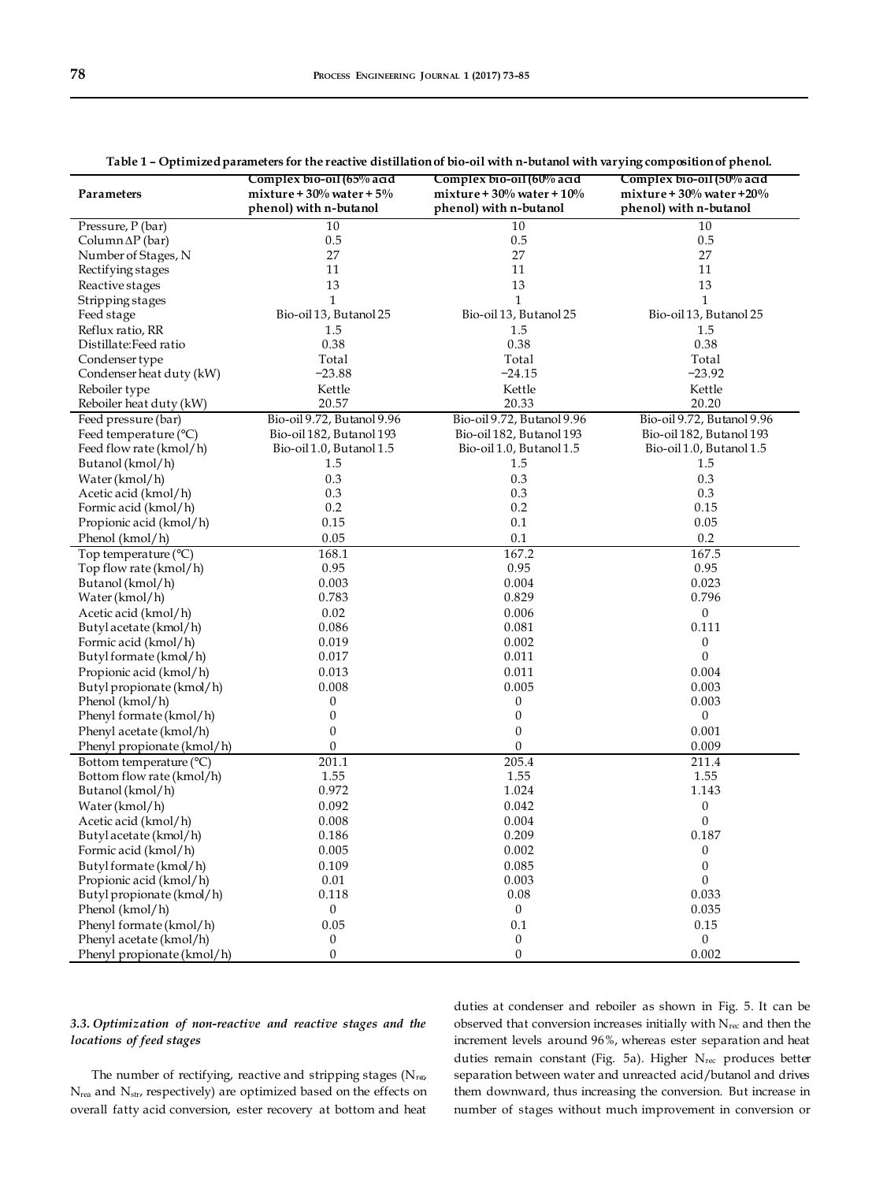|                            | Complex bio-oil (65% acid      | Complex bio-oil (60% acid       | Complex bio-oil (50% acid       |  |  |
|----------------------------|--------------------------------|---------------------------------|---------------------------------|--|--|
| Parameters                 | mixture + $30\%$ water + $5\%$ | mixture + $30\%$ water + $10\%$ | mixture + $30\%$ water + $20\%$ |  |  |
|                            | phenol) with n-butanol         | phenol) with n-butanol          | phenol) with n-butanol          |  |  |
| Pressure, P (bar)          | 10                             | 10                              | 10                              |  |  |
| Column $\Delta P$ (bar)    | 0.5                            | 0.5                             | 0.5                             |  |  |
| Number of Stages, N        | 27                             | 27                              | 27                              |  |  |
| Rectifying stages          | 11                             | 11                              | 11                              |  |  |
| Reactive stages            | 13                             | 13                              | 13                              |  |  |
| Stripping stages           | $\mathbf{1}$                   | $\mathbf{1}$                    | $\mathbf{1}$                    |  |  |
| Feed stage                 | Bio-oil 13, Butanol 25         | Bio-oil 13, Butanol 25          | Bio-oil 13, Butanol 25          |  |  |
| Reflux ratio, RR           | 1.5                            | 1.5                             | 1.5                             |  |  |
| Distillate: Feed ratio     | 0.38                           | 0.38                            | 0.38                            |  |  |
| Condenser type             | Total                          | Total                           | Total                           |  |  |
| Condenser heat duty (kW)   | $-23.88$                       | $-24.15$                        | $-23.92$                        |  |  |
| Reboiler type              | Kettle                         | Kettle                          | Kettle                          |  |  |
| Reboiler heat duty (kW)    | 20.57                          | 20.33                           | 20.20                           |  |  |
| Feed pressure (bar)        | Bio-oil 9.72, Butanol 9.96     | Bio-oil 9.72, Butanol 9.96      | Bio-oil 9.72, Butanol 9.96      |  |  |
| Feed temperature (°C)      | Bio-oil 182, Butanol 193       | Bio-oil 182, Butanol 193        | Bio-oil 182, Butanol 193        |  |  |
| Feed flow rate (kmol/h)    | Bio-oil 1.0, Butanol 1.5       | Bio-oil 1.0, Butanol 1.5        | Bio-oil 1.0, Butanol 1.5        |  |  |
| Butanol (kmol/h)           | 1.5                            | 1.5                             | 1.5                             |  |  |
| Water (kmol/h)             | 0.3                            | 0.3                             | 0.3                             |  |  |
| Acetic acid (kmol/h)       | 0.3                            | 0.3                             | 0.3                             |  |  |
| Formic acid (kmol/h)       | 0.2                            | 0.2                             | 0.15                            |  |  |
| Propionic acid (kmol/h)    | 0.15                           | 0.1                             | 0.05                            |  |  |
| Phenol (kmol/h)            | 0.05                           | $0.1\,$                         | 0.2                             |  |  |
| Top temperature (°C)       | 168.1                          | 167.2                           | 167.5                           |  |  |
| Top flow rate (kmol/h)     | 0.95                           | 0.95                            | 0.95                            |  |  |
| Butanol (kmol/h)           | 0.003                          | 0.004                           | 0.023                           |  |  |
| Water (kmol/h)             | 0.783                          | 0.829                           | 0.796                           |  |  |
| Acetic acid (kmol/h)       | 0.02                           | 0.006                           | $\boldsymbol{0}$                |  |  |
| Butyl acetate (kmol/h)     | 0.086                          | 0.081                           | 0.111                           |  |  |
| Formic acid (kmol/h)       | 0.019                          | 0.002                           | 0                               |  |  |
| Butyl formate (kmol/h)     | 0.017                          | 0.011                           | $\boldsymbol{0}$                |  |  |
| Propionic acid (kmol/h)    | 0.013                          | 0.011                           | 0.004                           |  |  |
| Butyl propionate (kmol/h)  | 0.008                          | 0.005                           | 0.003                           |  |  |
| Phenol (kmol/h)            | 0                              | 0                               | 0.003                           |  |  |
| Phenyl formate (kmol/h)    | 0                              | $\boldsymbol{0}$                | $\boldsymbol{0}$                |  |  |
| Phenyl acetate (kmol/h)    | $\mathbf{0}$                   | $\boldsymbol{0}$                | 0.001                           |  |  |
| Phenyl propionate (kmol/h) | 0                              | 0                               | 0.009                           |  |  |
| Bottom temperature (°C)    | 201.1                          | 205.4                           | 211.4                           |  |  |
| Bottom flow rate (kmol/h)  | 1.55                           | 1.55                            | 1.55                            |  |  |
| Butanol (kmol/h)           | 0.972                          | 1.024                           | 1.143                           |  |  |
| Water (kmol/h)             | 0.092                          | 0.042                           | $\boldsymbol{0}$                |  |  |
| Acetic acid (kmol/h)       | 0.008                          | 0.004                           | $\boldsymbol{0}$                |  |  |
| Butyl acetate (kmol/h)     | 0.186                          | 0.209                           | 0.187                           |  |  |
| Formic acid (kmol/h)       | 0.005                          | 0.002                           | $\boldsymbol{0}$                |  |  |
| Butyl formate (kmol/h)     | 0.109                          | 0.085                           | 0                               |  |  |
| Propionic acid (kmol/h)    | 0.01                           | 0.003                           | $\mathbf{0}$                    |  |  |
| Butyl propionate (kmol/h)  | 0.118                          | 0.08                            | 0.033                           |  |  |
| Phenol (kmol/h)            | $\boldsymbol{0}$               | $\mathbf{0}$                    | 0.035                           |  |  |
| Phenyl formate (kmol/h)    | 0.05                           | 0.1                             | 0.15                            |  |  |
| Phenyl acetate (kmol/h)    | $\boldsymbol{0}$               | $\boldsymbol{0}$                | $\mathbf{0}$                    |  |  |
| Phenyl propionate (kmol/h) | $\boldsymbol{0}$               | $\boldsymbol{0}$                | 0.002                           |  |  |

|  |  | Table 1 - Optimized parameters for the reactive distillation of bio-oil with n-butanol with varying composition of phenol. |  |  |  |  |  |
|--|--|----------------------------------------------------------------------------------------------------------------------------|--|--|--|--|--|
|--|--|----------------------------------------------------------------------------------------------------------------------------|--|--|--|--|--|

# *3.3. Optimization of non-reactive and reactive stages and the locations of feed stages*

The number of rectifying, reactive and stripping stages ( $N_{\text{r}\omega}$ ) N<sub>rea</sub> and N<sub>str</sub>, respectively) are optimized based on the effects on overall fatty acid conversion, ester recovery at bottom and heat

duties at condenser and reboiler as shown in Fig. 5. It can be observed that conversion increases initially with  $N_{\text{rec}}$  and then the increment levels around 96%, whereas ester separation and heat duties remain constant (Fig. 5a). Higher N<sub>rec</sub> produces better separation between water and unreacted acid/butanol and drives them downward, thus increasing the conversion. But increase in number of stages without much improvement in conversion or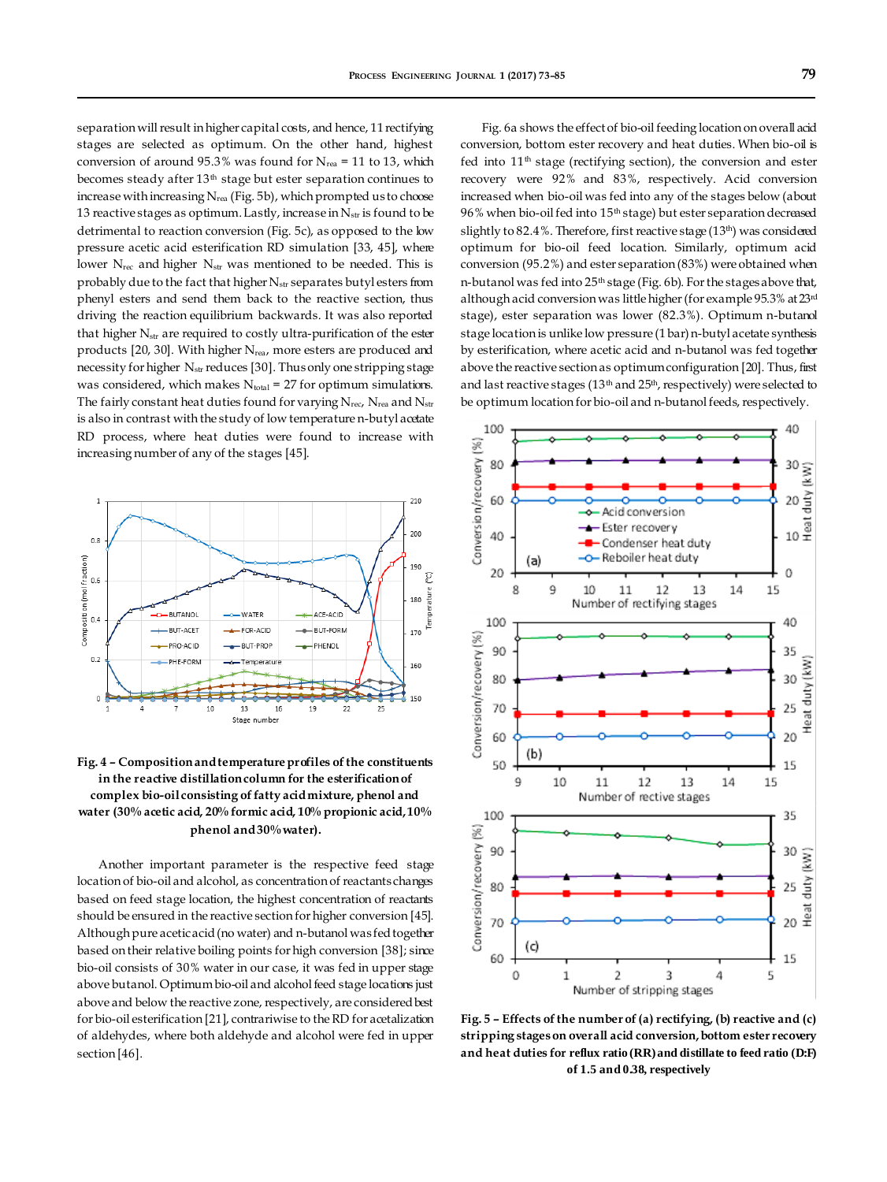separation will result in higher capital costs, and hence, 11 rectifying stages are selected as optimum. On the other hand, highest conversion of around 95.3% was found for  $N_{\text{rea}} = 11$  to 13, which becomes steady after 13<sup>th</sup> stage but ester separation continues to increase with increasing  $N_{\text{rea}}$  (Fig. 5b), which prompted us to choose 13 reactive stages as optimum. Lastly, increase in  $N_{str}$  is found to be detrimental to reaction conversion (Fig. 5c), as opposed to the low pressure acetic acid esterification RD simulation [33, 45], where lower N<sub>rec</sub> and higher N<sub>str</sub> was mentioned to be needed. This is probably due to the fact that higher  $N_{str}$  separates butyl esters from phenyl esters and send them back to the reactive section, thus driving the reaction equilibrium backwards. It was also reported that higher  $N_{str}$  are required to costly ultra-purification of the ester products [20, 30]. With higher N<sub>rea</sub>, more esters are produced and necessity for higher N<sub>str</sub> reduces [30]. Thus only one stripping stage was considered, which makes  $N_{total} = 27$  for optimum simulations. The fairly constant heat duties found for varying  $N_{\text{rec}}$ ,  $N_{\text{rea}}$  and  $N_{\text{str}}$ is also in contrast with the study of low temperature n-butyl acetate RD process, where heat duties were found to increase with increasing number of any of the stages [45].



**Fig. 4 – Composition and temperature profiles of the constituents in the reactive distillation column for the esterification of**  complex bio-oil consisting of fatty acid mixture, phenol and **water (30% acetic acid, 20% formic acid, 10% propionic acid, 10% phenol and 30% water).**

Another important parameter is the respective feed stage location of bio-oil and alcohol, as concentration of reactants changes based on feed stage location, the highest concentration of reactants should be ensured in the reactive section for higher conversion [45]. Although pure acetic acid (no water) and n-butanol was fed together based on their relative boiling points for high conversion [38]; since bio-oil consists of 30% water in our case, it was fed in upper stage above butanol. Optimum bio-oil and alcohol feed stage locations just above and below the reactive zone, respectively, are considered best for bio-oil esterification [21], contrariwise to the RD for acetalization of aldehydes, where both aldehyde and alcohol were fed in upper section [46].

Fig. 6a shows the effect of bio-oil feeding location on overall acid conversion, bottom ester recovery and heat duties. When bio-oil is fed into  $11<sup>th</sup>$  stage (rectifying section), the conversion and ester recovery were 92% and 83%, respectively. Acid conversion increased when bio-oil was fed into any of the stages below (about 96% when bio-oil fed into 15<sup>th</sup> stage) but ester separation decreased slightly to 82.4%. Therefore, first reactive stage (13<sup>th</sup>) was considered optimum for bio-oil feed location. Similarly, optimum acid conversion (95.2%) and ester separation (83%) were obtained when n-butanol was fed into 25<sup>th</sup> stage (Fig. 6b). For the stages above that, although acid conversion was little higher (for example 95.3% at 23rd stage), ester separation was lower (82.3%). Optimum n-butanol stage location is unlike low pressure (1 bar) n-butyl acetate synthesis by esterification, where acetic acid and n-butanol was fed together above the reactive section as optimum configuration [20]. Thus, first and last reactive stages ( $13<sup>th</sup>$  and  $25<sup>th</sup>$ , respectively) were selected to be optimum location for bio-oil and n-butanol feeds, respectively.



**Fig. 5 – Effects of the number of (a) rectifying, (b) reactive and (c) stripping stages on overall acid conversion, bottom ester recovery and heat duties for reflux ratio (RR) and distillate to feed ratio (D:F) of 1.5 and 0.38, respectively**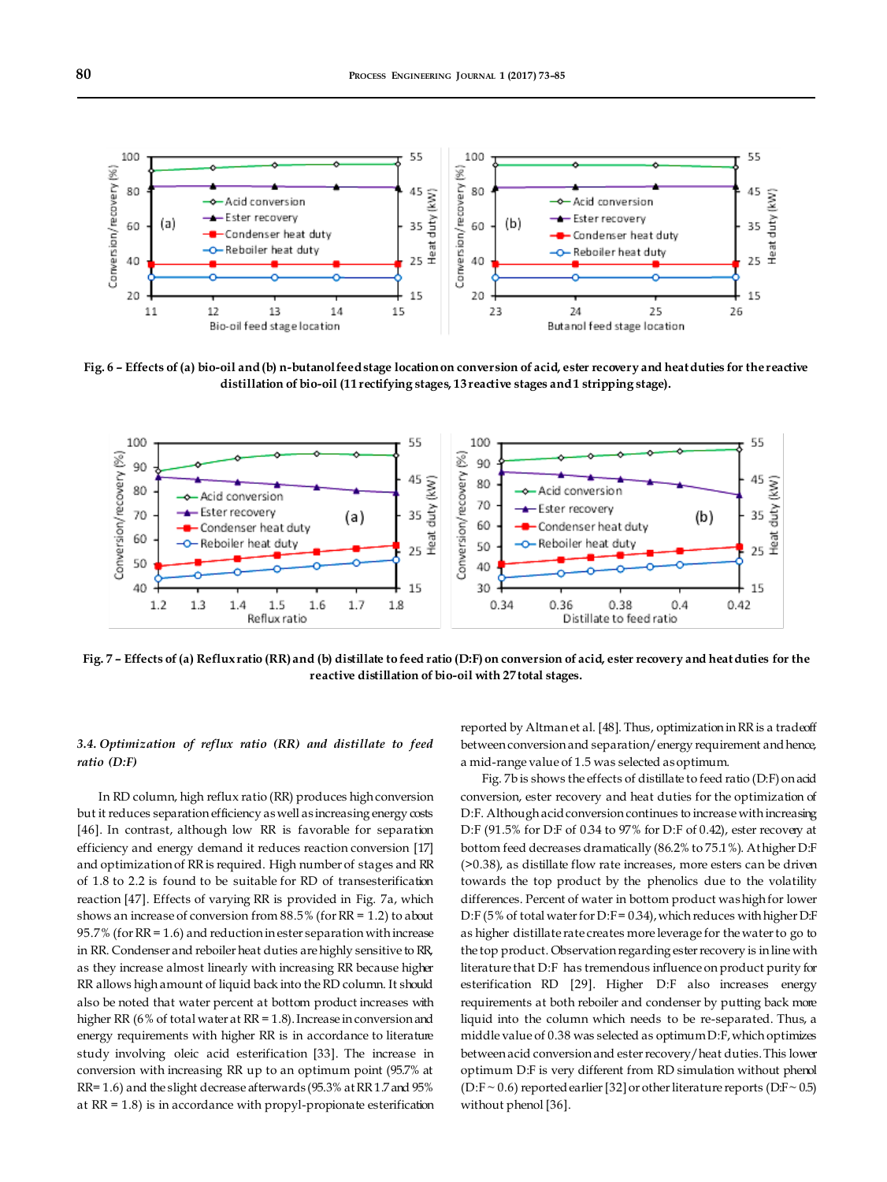

**Fig. 6 – Effects of (a) bio-oil and (b) n-butanol feed stage location on conversion of acid, ester recovery and heat duties for the reactive distillation of bio-oil (11 rectifying stages, 13 reactive stages and 1 stripping stage).**



**Fig. 7 – Effects of (a) Reflux ratio (RR) and (b) distillate to feed ratio (D:F) on conversion of acid, ester recovery and heat duties for the reactive distillation of bio-oil with 27 total stages.**

# *3.4. Optimization of reflux ratio (RR) and distillate to feed ratio (D:F)*

In RD column, high reflux ratio (RR) produces high conversion but it reduces separation efficiency as well as increasing energy costs [46]. In contrast, although low RR is favorable for separation efficiency and energy demand it reduces reaction conversion [17] and optimization of RR is required. High number of stages and RR of 1.8 to 2.2 is found to be suitable for RD of transesterification reaction [47]. Effects of varying RR is provided in Fig. 7a, which shows an increase of conversion from 88.5% (for RR = 1.2) to about 95.7% (for  $RR = 1.6$ ) and reduction in ester separation with increase in RR. Condenser and reboiler heat duties are highly sensitive to RR, as they increase almost linearly with increasing RR because higher RR allows high amount of liquid back into the RD column. It should also be noted that water percent at bottom product increases with higher RR (6% of total water at RR = 1.8). Increase in conversion and energy requirements with higher RR is in accordance to literature study involving oleic acid esterification [33]. The increase in conversion with increasing RR up to an optimum point (95.7% at RR= 1.6) and the slight decrease afterwards (95.3% at RR 1.7 and 95% at  $RR = 1.8$ ) is in accordance with propyl-propionate esterification

reported by Altman et al. [48]. Thus, optimization in RR is a tradeoff between conversion and separation/energy requirement and hence, a mid-range value of 1.5 was selected as optimum.

Fig. 7b is shows the effects of distillate to feed ratio (D:F) on acid conversion, ester recovery and heat duties for the optimization of D:F. Although acid conversion continues to increase with increasing D:F (91.5% for D:F of 0.34 to 97% for D:F of 0.42), ester recovery at bottom feed decreases dramatically (86.2% to 75.1%). At higher D:F (>0.38), as distillate flow rate increases, more esters can be driven towards the top product by the phenolics due to the volatility differences. Percent of water in bottom product was high for lower D:F (5% of total water for D:F =  $0.34$ ), which reduces with higher D:F as higher distillate rate creates more leverage for the water to go to the top product. Observation regarding ester recovery is in line with literature that D:F has tremendous influence on product purity for esterification RD [29]. Higher D:F also increases energy requirements at both reboiler and condenser by putting back more liquid into the column which needs to be re-separated. Thus, a middle value of 0.38 was selected as optimum D:F, which optimizes between acid conversion and ester recovery/heat duties. This lower optimum D:F is very different from RD simulation without phenol (D:F  $\sim$  0.6) reported earlier [32] or other literature reports (D:F  $\sim$  0.5) without phenol [36].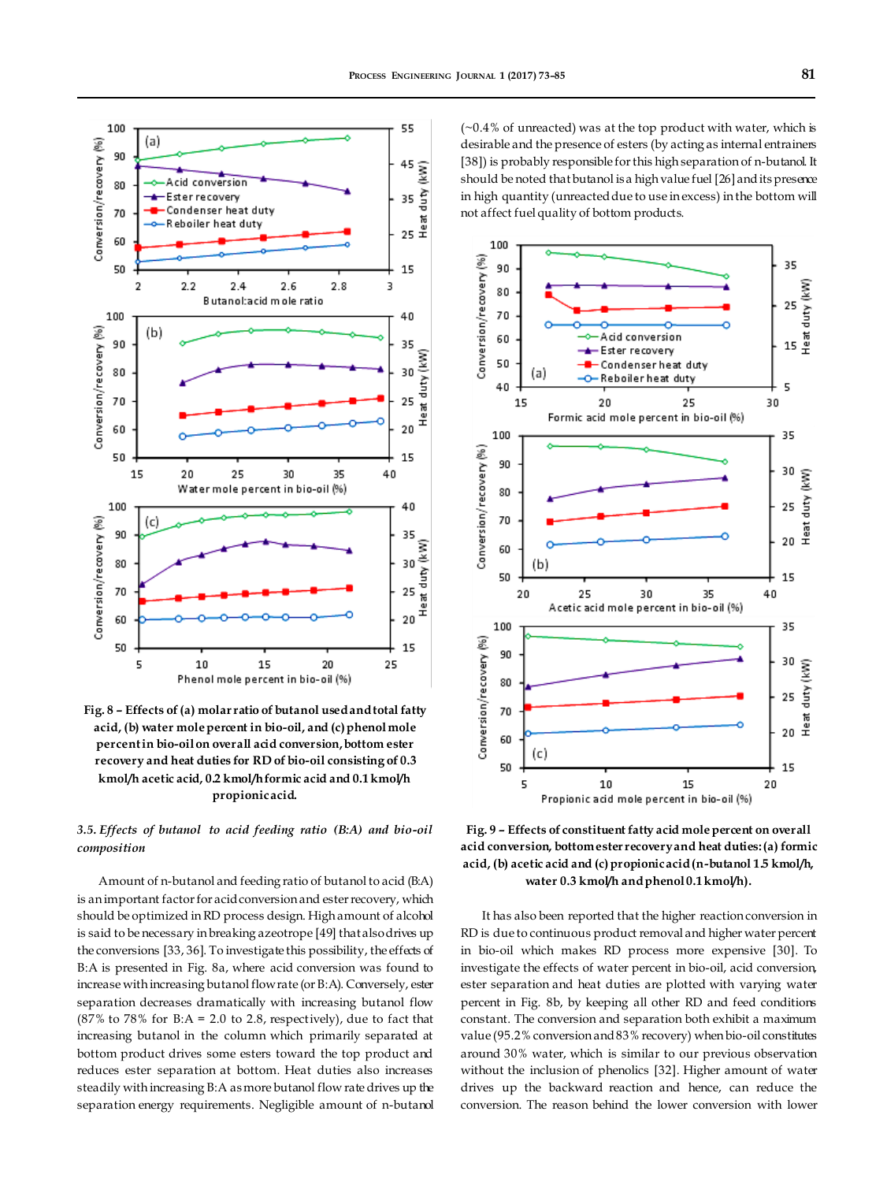

**Fig. 8 – Effects of (a) molar ratio of butanol used and total fatty acid, (b) water mole percent in bio-oil, and (c) phenol mole percent in bio-oil on overall acid conversion, bottom ester recovery and heat duties for RD of bio-oil consisting of 0.3 kmol/h acetic acid, 0.2 kmol/h formic acid and 0.1 kmol/h propionic acid.**

# *3.5. Effects of butanol to acid feeding ratio (B:A) and bio-oil composition*

Amount of n-butanol and feeding ratio of butanol to acid (B:A) is an important factor for acid conversion and ester recovery, which should be optimized in RD process design. High amount of alcohol is said to be necessary in breaking azeotrope [49] that also drives up the conversions [33, 36]. To investigate this possibility, the effects of B:A is presented in Fig. 8a, where acid conversion was found to increase with increasing butanol flow rate (or B:A). Conversely, ester separation decreases dramatically with increasing butanol flow  $(87\%$  to 78% for B:A = 2.0 to 2.8, respectively), due to fact that increasing butanol in the column which primarily separated at bottom product drives some esters toward the top product and reduces ester separation at bottom. Heat duties also increases steadily with increasing B:A as more butanol flow rate drives up the separation energy requirements. Negligible amount of n-butanol  $(-0.4%$  of unreacted) was at the top product with water, which is desirable and the presence of esters (by acting as internal entrainers [38]) is probably responsible for this high separation of n-butanol. It should be noted that butanol is a high value fuel [26] and its presence in high quantity (unreacted due to use in excess) in the bottom will not affect fuel quality of bottom products.



**Fig. 9 – Effects of constituent fatty acid mole percent on overall acid conversion, bottom ester recovery and heat duties: (a) formic acid, (b) acetic acid and (c) propionic acid (n-butanol 1.5 kmol/h, water 0.3 kmol/h and phenol 0.1 kmol/h).**

It has also been reported that the higher reaction conversion in RD is due to continuous product removal and higher water percent in bio-oil which makes RD process more expensive [30]. To investigate the effects of water percent in bio-oil, acid conversion, ester separation and heat duties are plotted with varying water percent in Fig. 8b, by keeping all other RD and feed conditions constant. The conversion and separation both exhibit a maximum value (95.2% conversion and 83% recovery) when bio-oil constitutes around 30% water, which is similar to our previous observation without the inclusion of phenolics [32]. Higher amount of water drives up the backward reaction and hence, can reduce the conversion. The reason behind the lower conversion with lower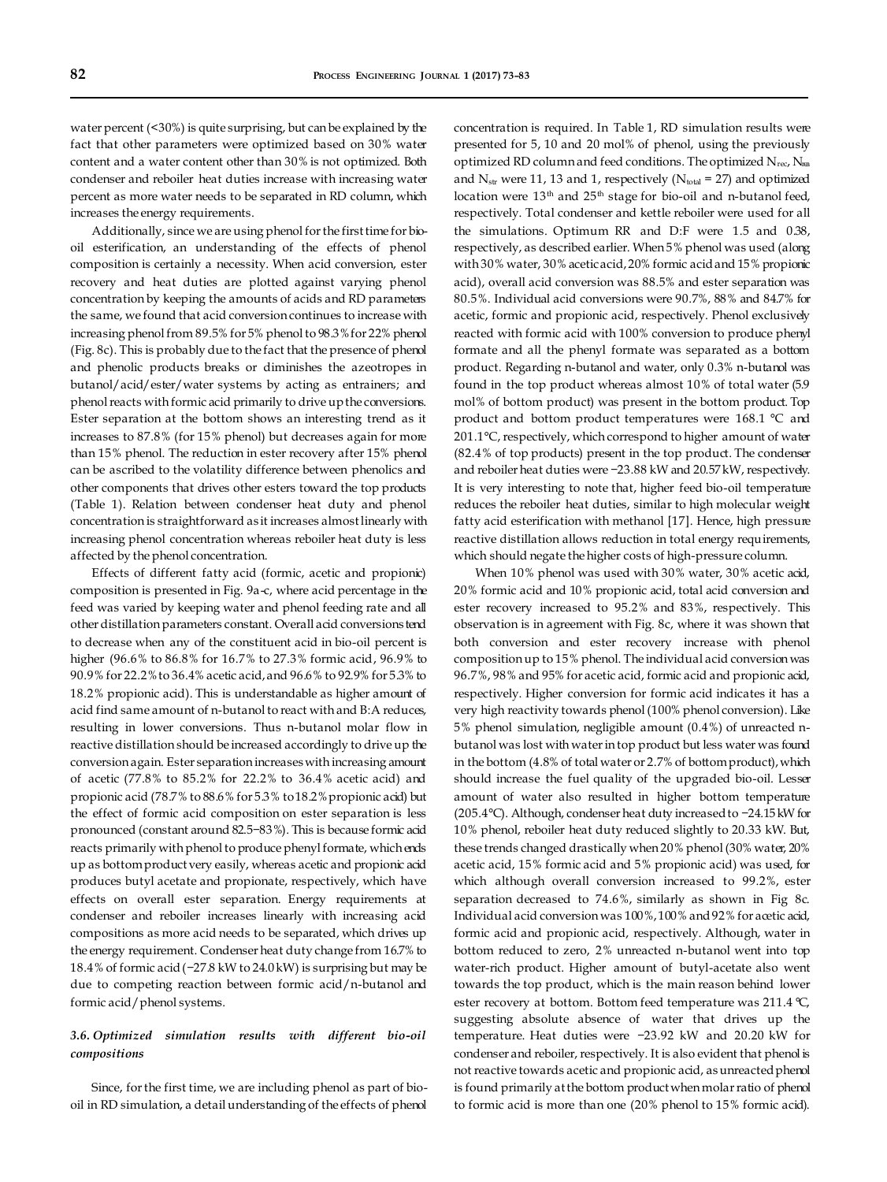water percent (<30%) is quite surprising, but can be explained by the fact that other parameters were optimized based on 30% water content and a water content other than 30% is not optimized. Both condenser and reboiler heat duties increase with increasing water percent as more water needs to be separated in RD column, which increases the energy requirements.

Additionally, since we are using phenol for the first time for biooil esterification, an understanding of the effects of phenol composition is certainly a necessity. When acid conversion, ester recovery and heat duties are plotted against varying phenol concentration by keeping the amounts of acids and RD parameters the same, we found that acid conversion continues to increase with increasing phenol from 89.5% for 5% phenol to 98.3% for 22% phenol (Fig. 8c). This is probably due to the fact that the presence of phenol and phenolic products breaks or diminishes the azeotropes in butanol/acid/ester/water systems by acting as entrainers; and phenol reacts with formic acid primarily to drive up the conversions. Ester separation at the bottom shows an interesting trend as it increases to 87.8% (for 15% phenol) but decreases again for more than 15% phenol. The reduction in ester recovery after 15% phenol can be ascribed to the volatility difference between phenolics and other components that drives other esters toward the top products (Table 1). Relation between condenser heat duty and phenol concentration is straightforward as it increases almost linearly with increasing phenol concentration whereas reboiler heat duty is less affected by the phenol concentration.

Effects of different fatty acid (formic, acetic and propionic) composition is presented in Fig. 9a-c, where acid percentage in the feed was varied by keeping water and phenol feeding rate and all other distillation parameters constant. Overall acid conversions tend to decrease when any of the constituent acid in bio-oil percent is higher (96.6% to 86.8% for 16.7% to 27.3% formic acid, 96.9% to 90.9% for 22.2% to 36.4% acetic acid, and 96.6% to 92.9% for 5.3% to 18.2% propionic acid). This is understandable as higher amount of acid find same amount of n-butanol to react with and B:A reduces, resulting in lower conversions. Thus n-butanol molar flow in reactive distillation should be increased accordingly to drive up the conversion again. Ester separation increases with increasing amount of acetic (77.8% to 85.2% for 22.2% to 36.4% acetic acid) and propionic acid (78.7% to 88.6% for 5.3% to 18.2% propionic acid) but the effect of formic acid composition on ester separation is less pronounced (constant around 82.5−83%). This is because formic acid reacts primarily with phenol to produce phenyl formate, which ends up as bottom product very easily, whereas acetic and propionic acid produces butyl acetate and propionate, respectively, which have effects on overall ester separation. Energy requirements at condenser and reboiler increases linearly with increasing acid compositions as more acid needs to be separated, which drives up the energy requirement. Condenser heat duty change from 16.7% to 18.4% of formic acid (−27.8 kW to 24.0 kW) is surprising but may be due to competing reaction between formic acid/n-butanol and formic acid/phenol systems.

# *3.6. Optimized simulation results with different bio-oil compositions*

Since, for the first time, we are including phenol as part of biooil in RD simulation, a detail understanding of the effects of phenol

concentration is required. In Table 1, RD simulation results were presented for 5, 10 and 20 mol% of phenol, using the previously optimized RD column and feed conditions. The optimized  $N_{rec}$ ,  $N_{ran}$ and  $N_{str}$  were 11, 13 and 1, respectively ( $N_{total}$  = 27) and optimized location were  $13<sup>th</sup>$  and  $25<sup>th</sup>$  stage for bio-oil and n-butanol feed, respectively. Total condenser and kettle reboiler were used for all the simulations. Optimum RR and D:F were 1.5 and 0.38, respectively, as described earlier. When 5% phenol was used (along with 30% water, 30% acetic acid, 20% formic acid and 15% propionic acid), overall acid conversion was 88.5% and ester separation was 80.5%. Individual acid conversions were 90.7%, 88% and 84.7% for acetic, formic and propionic acid, respectively. Phenol exclusively reacted with formic acid with 100% conversion to produce phenyl formate and all the phenyl formate was separated as a bottom product. Regarding n-butanol and water, only 0.3% n-butanol was found in the top product whereas almost 10% of total water (5.9 mol% of bottom product) was present in the bottom product. Top product and bottom product temperatures were 168.1 °C and 201.1°C, respectively, which correspond to higher amount of water (82.4% of top products) present in the top product. The condenser and reboiler heat duties were −23.88 kW and 20.57 kW, respectively. It is very interesting to note that, higher feed bio-oil temperature reduces the reboiler heat duties, similar to high molecular weight fatty acid esterification with methanol [17]. Hence, high pressure reactive distillation allows reduction in total energy requirements, which should negate the higher costs of high-pressure column.

When 10% phenol was used with 30% water, 30% acetic acid, 20% formic acid and 10% propionic acid, total acid conversion and ester recovery increased to 95.2% and 83%, respectively. This observation is in agreement with Fig. 8c, where it was shown that both conversion and ester recovery increase with phenol composition up to 15% phenol. The individual acid conversion was 96.7%, 98% and 95% for acetic acid, formic acid and propionic acid, respectively. Higher conversion for formic acid indicates it has a very high reactivity towards phenol (100% phenol conversion). Like 5% phenol simulation, negligible amount (0.4%) of unreacted nbutanol was lost with water in top product but less water was found in the bottom (4.8% of total water or 2.7% of bottom product), which should increase the fuel quality of the upgraded bio-oil. Lesser amount of water also resulted in higher bottom temperature (205.4°C). Although, condenser heat duty increased to −24.15 kW for 10% phenol, reboiler heat duty reduced slightly to 20.33 kW. But, these trends changed drastically when 20% phenol (30% water, 20% acetic acid, 15% formic acid and 5% propionic acid) was used, for which although overall conversion increased to 99.2%, ester separation decreased to 74.6%, similarly as shown in Fig 8c. Individual acid conversion was 100%, 100% and 92% for acetic acid, formic acid and propionic acid, respectively. Although, water in bottom reduced to zero, 2% unreacted n-butanol went into top water-rich product. Higher amount of butyl-acetate also went towards the top product, which is the main reason behind lower ester recovery at bottom. Bottom feed temperature was 211.4 °C, suggesting absolute absence of water that drives up the temperature. Heat duties were −23.92 kW and 20.20 kW for condenser and reboiler, respectively. It is also evident that phenol is not reactive towards acetic and propionic acid, as unreacted phenol is found primarily at the bottom product when molar ratio of phenol to formic acid is more than one (20% phenol to 15% formic acid).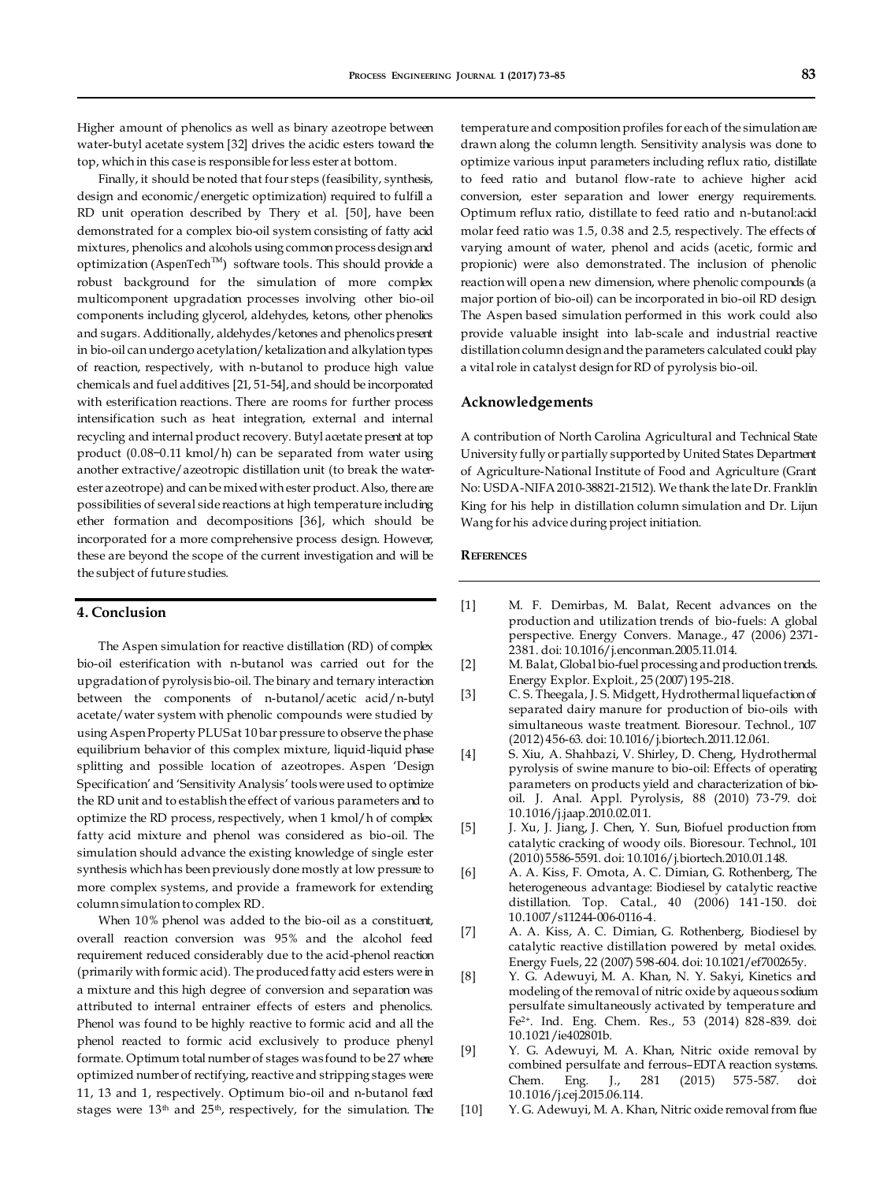Higher amount of phenolics as well as binary azeotrope between water-butyl acetate system [32] drives the acidic esters toward the top, which in this case is responsible for less ester at bottom.

Finally, it should be noted that four steps (feasibility, synthesis, design and economic/energetic optimization) required to fulfill a RD unit operation described by Thery et al. [50], have been demonstrated for a complex bio-oil system consisting of fatty acid mixtures, phenolics and alcohols using common process design and optimization (AspenTech<sup>TM</sup>) software tools. This should provide a robust background for the simulation of more complex multicomponent upgradation processes involving other bio-oil components including glycerol, aldehydes, ketons, other phenolics and sugars. Additionally, aldehydes/ketones and phenolics present in bio-oil can undergo acetylation/ketalization and alkylation types of reaction, respectively, with n-butanol to produce high value chemicals and fuel additives [21, 51-54], and should be incorporated with esterification reactions. There are rooms for further process intensification such as heat integration, external and internal recycling and internal product recovery. Butyl acetate present at top product (0.08−0.11 kmol/h) can be separated from water using another extractive/azeotropic distillation unit (to break the waterester azeotrope) and can be mixed with ester product. Also, there are possibilities of several side reactions at high temperature including ether formation and decompositions [36], which should be incorporated for a more comprehensive process design. However, these are beyond the scope of the current investigation and will be the subject of future studies.

# **4. Conclusion**

The Aspen simulation for reactive distillation (RD) of complex bio-oil esterification with n-butanol was carried out for the upgradation of pyrolysis bio-oil. The binary and ternary interaction between the components of n-butanol/acetic acid/n-butyl acetate/water system with phenolic compounds were studied by using Aspen Property PLUS at 10 bar pressure to observe the phase equilibrium behavior of this complex mixture, liquid-liquid phase splitting and possible location of azeotropes. Aspen 'Design Specification' and 'Sensitivity Analysis' tools were used to optimize the RD unit and to establish the effect of various parameters and to optimize the RD process, respectively, when 1 kmol/h of complex fatty acid mixture and phenol was considered as bio-oil. The simulation should advance the existing knowledge of single ester synthesis which has been previously done mostly at low pressure to more complex systems, and provide a framework for extending column simulation to complex RD.

When 10% phenol was added to the bio-oil as a constituent, overall reaction conversion was 95% and the alcohol feed requirement reduced considerably due to the acid-phenol reaction (primarily with formic acid). The produced fatty acid esters were in a mixture and this high degree of conversion and separation was attributed to internal entrainer effects of esters and phenolics. Phenol was found to be highly reactive to formic acid and all the phenol reacted to formic acid exclusively to produce phenyl formate. Optimum total number of stages was found to be 27 where optimized number of rectifying, reactive and stripping stages were 11, 13 and 1, respectively. Optimum bio-oil and n-butanol feed stages were  $13<sup>th</sup>$  and  $25<sup>th</sup>$ , respectively, for the simulation. The

temperature and composition profiles for each of the simulation are drawn along the column length. Sensitivity analysis was done to optimize various input parameters including reflux ratio, distillate to feed ratio and butanol flow-rate to achieve higher acid conversion, ester separation and lower energy requirements. Optimum reflux ratio, distillate to feed ratio and n-butanol:acid molar feed ratio was 1.5, 0.38 and 2.5, respectively. The effects of varying amount of water, phenol and acids (acetic, formic and propionic) were also demonstrated. The inclusion of phenolic reaction will open a new dimension, where phenolic compounds (a major portion of bio-oil) can be incorporated in bio-oil RD design. The Aspen based simulation performed in this work could also provide valuable insight into lab-scale and industrial reactive distillation column design and the parameters calculated could play a vital role in catalyst design for RD of pyrolysis bio-oil.

#### **Acknowledgements**

A contribution of North Carolina Agricultural and Technical State University fully or partially supported by United States Department of Agriculture-National Institute of Food and Agriculture (Grant No: USDA-NIFA 2010-38821-21512). We thank the late Dr. Franklin King for his help in distillation column simulation and Dr. Lijun Wang for his advice during project initiation.

## **REFERENCES**

- [1] M. F. Demirbas, M. Balat, Recent advances on the production and utilization trends of bio-fuels: A global perspective. Energy Convers. Manage., 47 (2006) 2371- 2381. doi: 10.1016/j.enconman.2005.11.014.
- [2] M. Balat, Global bio-fuel processing and production trends. Energy Explor. Exploit., 25 (2007) 195-218.
- [3] C. S. Theegala, J. S. Midgett, Hydrothermal liquefaction of separated dairy manure for production of bio-oils with simultaneous waste treatment. Bioresour. Technol., 107 (2012) 456-63. doi: 10.1016/j.biortech.2011.12.061.
- [4] S. Xiu, A. Shahbazi, V. Shirley, D. Cheng, Hydrothermal pyrolysis of swine manure to bio-oil: Effects of operating parameters on products yield and characterization of biooil. J. Anal. Appl. Pyrolysis, 88 (2010) 73-79. doi: 10.1016/j.jaap.2010.02.011.
- [5] J. Xu, J. Jiang, J. Chen, Y. Sun, Biofuel production from catalytic cracking of woody oils. Bioresour. Technol., 101 (2010) 5586-5591. doi: 10.1016/j.biortech.2010.01.148.
- [6] A. A. Kiss, F. Omota, A. C. Dimian, G. Rothenberg, The heterogeneous advantage: Biodiesel by catalytic reactive distillation. Top. Catal., 40 (2006) 141-150. doi: 10.1007/s11244-006-0116-4.
- [7] A. A. Kiss, A. C. Dimian, G. Rothenberg, Biodiesel by catalytic reactive distillation powered by metal oxides. Energy Fuels, 22 (2007) 598-604. doi: 10.1021/ef700265y.
- [8] Y. G. Adewuyi, M. A. Khan, N. Y. Sakyi, Kinetics and modeling of the removal of nitric oxide by aqueous sodium persulfate simultaneously activated by temperature and Fe2+. Ind. Eng. Chem. Res., 53 (2014) 828-839. doi: 10.1021/ie402801b.
- [9] Y. G. Adewuyi, M. A. Khan, Nitric oxide removal by combined persulfate and ferrous–EDTA reaction systems. Chem. Eng. J., 281 (2015) 575-587. doi: 10.1016/j.cej.2015.06.114.
- [10] Y. G. Adewuyi, M. A. Khan, Nitric oxide removal from flue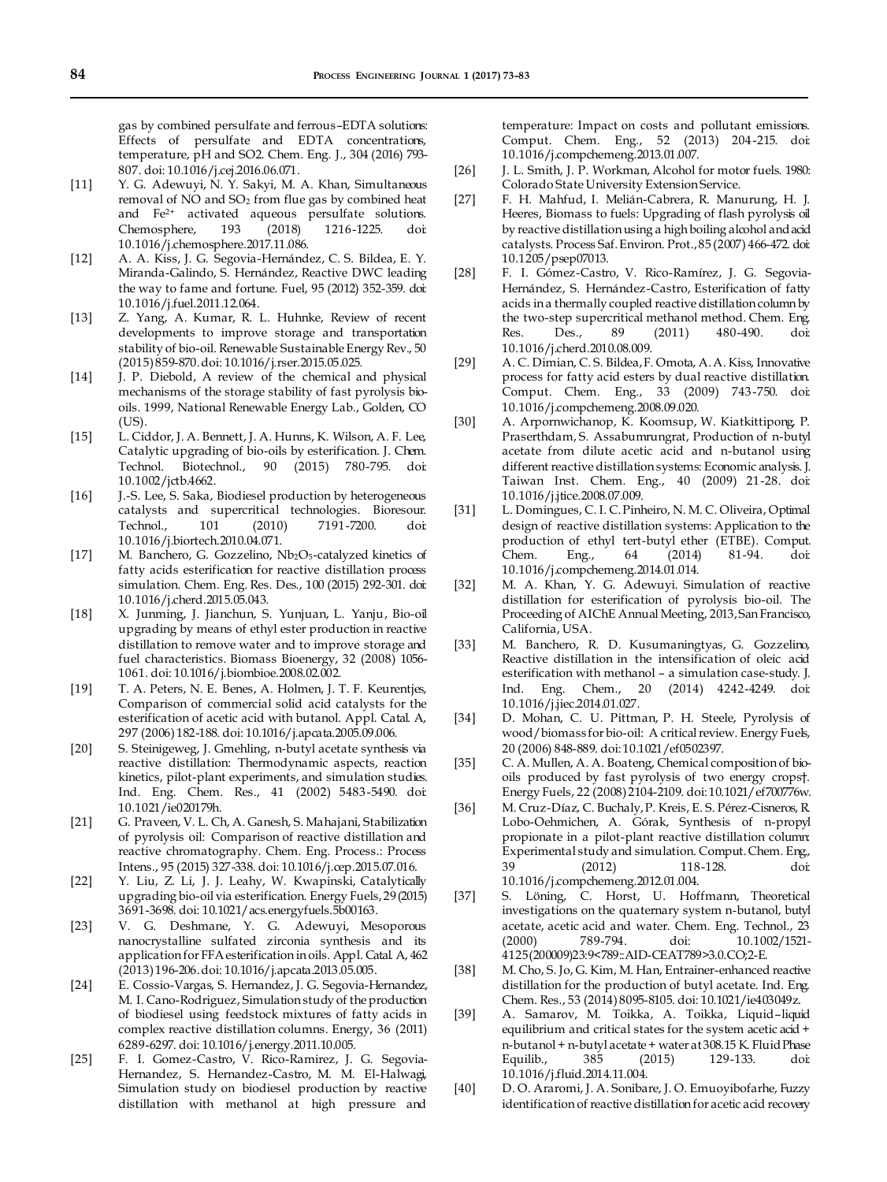gas by combined persulfate and ferrous–EDTA solutions: Effects of persulfate and EDTA concentrations, temperature, pH and SO2. Chem. Eng. J., 304 (2016) 793- 807. doi: 10.1016/j.cej.2016.06.071.

- [11] Y. G. Adewuyi, N. Y. Sakyi, M. A. Khan, Simultaneous removal of NO and SO<sub>2</sub> from flue gas by combined heat and Fe2+ activated aqueous persulfate solutions. Chemosphere, 193 (2018) 1216-1225. doi: 10.1016/j.chemosphere.2017.11.086.
- [12] A. A. Kiss, J. G. Segovia-Hernández, C. S. Bildea, E. Y. Miranda-Galindo, S. Hernández, Reactive DWC leading the way to fame and fortune. Fuel, 95 (2012) 352-359. doi: 10.1016/j.fuel.2011.12.064.
- [13] Z. Yang, A. Kumar, R. L. Huhnke, Review of recent developments to improve storage and transportation stability of bio-oil. Renewable Sustainable Energy Rev., 50 (2015) 859-870. doi: 10.1016/j.rser.2015.05.025.
- [14] J. P. Diebold, A review of the chemical and physical mechanisms of the storage stability of fast pyrolysis biooils. 1999, National Renewable Energy Lab., Golden, CO (US).
- [15] L. Ciddor, J. A. Bennett, J. A. Hunns, K. Wilson, A. F. Lee, Catalytic upgrading of bio-oils by esterification. J. Chem. Technol. Biotechnol., 90 (2015) 780-795. doi: 10.1002/jctb.4662.
- [16] J.-S. Lee, S. Saka, Biodiesel production by heterogeneous catalysts and supercritical technologies. Bioresour. Technol., 101 (2010) 7191-7200. doi: 10.1016/j.biortech.2010.04.071.
- [17] M. Banchero, G. Gozzelino,  $Nb<sub>2</sub>O<sub>5</sub>$ -catalyzed kinetics of fatty acids esterification for reactive distillation process simulation. Chem. Eng. Res. Des., 100 (2015) 292-301. doi: 10.1016/j.cherd.2015.05.043.
- [18] X. Junming, J. Jianchun, S. Yunjuan, L. Yanju, Bio-oil upgrading by means of ethyl ester production in reactive distillation to remove water and to improve storage and fuel characteristics. Biomass Bioenergy, 32 (2008) 1056- 1061. doi: 10.1016/j.biombioe.2008.02.002.
- [19] T. A. Peters, N. E. Benes, A. Holmen, J. T. F. Keurentjes, Comparison of commercial solid acid catalysts for the esterification of acetic acid with butanol. Appl. Catal. A, 297 (2006) 182-188. doi: 10.1016/j.apcata.2005.09.006.
- [20] S. Steinigeweg, J. Gmehling, n-butyl acetate synthesis via reactive distillation: Thermodynamic aspects, reaction kinetics, pilot-plant experiments, and simulation studies. Ind. Eng. Chem. Res., 41 (2002) 5483-5490. doi: 10.1021/ie020179h.
- [21] G. Praveen, V. L. Ch, A. Ganesh, S. Mahajani, Stabilization of pyrolysis oil: Comparison of reactive distillation and reactive chromatography. Chem. Eng. Process.: Process Intens., 95 (2015) 327-338. doi: 10.1016/j.cep.2015.07.016.
- [22] Y. Liu, Z. Li, J. J. Leahy, W. Kwapinski, Catalytically upgrading bio-oil via esterification. Energy Fuels, 29 (2015) 3691-3698. doi: 10.1021/acs.energyfuels.5b00163.
- [23] V. G. Deshmane, Y. G. Adewuyi, Mesoporous nanocrystalline sulfated zirconia synthesis and its application for FFA esterification in oils. Appl. Catal. A, 462 (2013) 196-206. doi: 10.1016/j.apcata.2013.05.005.
- [24] E. Cossio-Vargas, S. Hernandez, J. G. Segovia-Hernandez, M. I. Cano-Rodriguez, Simulation study of the production of biodiesel using feedstock mixtures of fatty acids in complex reactive distillation columns. Energy, 36 (2011) 6289-6297. doi: 10.1016/j.energy.2011.10.005.
- [25] F. I. Gomez-Castro, V. Rico-Ramirez, J. G. Segovia-Hernandez, S. Hernandez-Castro, M. M. El-Halwagi, Simulation study on biodiesel production by reactive distillation with methanol at high pressure and

temperature: Impact on costs and pollutant emissions. Comput. Chem. Eng., 52 (2013) 204-215. doi: 10.1016/j.compchemeng.2013.01.007.

- [26] J. L. Smith, J. P. Workman, Alcohol for motor fuels. 1980: Colorado State University Extension Service.
- [27] F. H. Mahfud, I. Melián-Cabrera, R. Manurung, H. J. Heeres, Biomass to fuels: Upgrading of flash pyrolysis oil by reactive distillation using a high boiling alcohol and acid catalysts. Process Saf. Environ. Prot., 85 (2007) 466-472. doi: 10.1205/psep07013.
- [28] F. I. Gómez-Castro, V. Rico-Ramírez, J. G. Segovia-Hernández, S. Hernández-Castro, Esterification of fatty acids in a thermally coupled reactive distillation column by the two-step supercritical methanol method. Chem. Eng.<br>
Res. Des., 89 (2011) 480-490. doi: Res. Des., 89 (2011) 480-490. doi: 10.1016/j.cherd.2010.08.009.
- [29] A. C. Dimian, C. S. Bildea, F. Omota, A. A. Kiss, Innovative process for fatty acid esters by dual reactive distillation. Comput. Chem. Eng., 33 (2009) 743-750. doi: 10.1016/j.compchemeng.2008.09.020.
- [30] A. Arpornwichanop, K. Koomsup, W. Kiatkittipong, P. Praserthdam, S. Assabumrungrat, Production of n-butyl acetate from dilute acetic acid and n-butanol using different reactive distillation systems: Economic analysis. J. Taiwan Inst. Chem. Eng., 40 (2009) 21-28. doi: 10.1016/j.jtice.2008.07.009.
- [31] L. Domingues, C. I. C. Pinheiro, N. M. C. Oliveira, Optimal design of reactive distillation systems: Application to the production of ethyl tert-butyl ether (ETBE). Comput.<br>Chem. Eng., 64 (2014) 81-94. doi: Eng.,  $64 \t(2014) \t81-94$ . doi: 10.1016/j.compchemeng.2014.01.014.
- [32] M. A. Khan, Y. G. Adewuyi. Simulation of reactive distillation for esterification of pyrolysis bio-oil. The Proceeding of AIChE Annual Meeting, 2013, San Francisco, California, USA.
- [33] M. Banchero, R. D. Kusumaningtyas, G. Gozzelino, Reactive distillation in the intensification of oleic acid esterification with methanol – a simulation case-study. J. Ind. Eng. Chem., 20 (2014) 4242-4249. doi: 10.1016/j.jiec.2014.01.027.
- [34] D. Mohan, C. U. Pittman, P. H. Steele, Pyrolysis of wood/biomass for bio-oil: A critical review. Energy Fuels, 20 (2006) 848-889. doi: 10.1021/ef0502397.
- [35] C. A. Mullen, A. A. Boateng, Chemical composition of biooils produced by fast pyrolysis of two energy crops†. Energy Fuels, 22 (2008) 2104-2109. doi: 10.1021/ef700776w.
- [36] M. Cruz-Díaz, C. Buchaly, P. Kreis, E. S. Pérez-Cisneros, R. Lobo-Oehmichen, A. Górak, Synthesis of n-propyl propionate in a pilot-plant reactive distillation column: Experimental study and simulation. Comput. Chem. Eng., 39 (2012) 118-128. doi: 10.1016/j.compchemeng.2012.01.004.
- [37] S. Löning, C. Horst, U. Hoffmann, Theoretical investigations on the quaternary system n‐butanol, butyl acetate, acetic acid and water. Chem. Eng. Technol., 23 (2000) 789-794. doi: 10.1002/1521- 4125(200009)23:9<789::AID-CEAT789>3.0.CO;2-E.
- [38] M. Cho, S. Jo, G. Kim, M. Han, Entrainer-enhanced reactive distillation for the production of butyl acetate. Ind. Eng. Chem. Res., 53 (2014) 8095-8105. doi: 10.1021/ie403049z.
- [39] A. Samarov, M. Toikka, A. Toikka, Liquid–liquid equilibrium and critical states for the system acetic acid + n-butanol + n-butyl acetate + water at 308.15 K. Fluid Phase Equilib., 385 (2015) 129-133. doi: 10.1016/j.fluid.2014.11.004.
- [40] D. O. Araromi, J. A. Sonibare, J. O. Emuoyibofarhe, Fuzzy identification of reactive distillation for acetic acid recovery